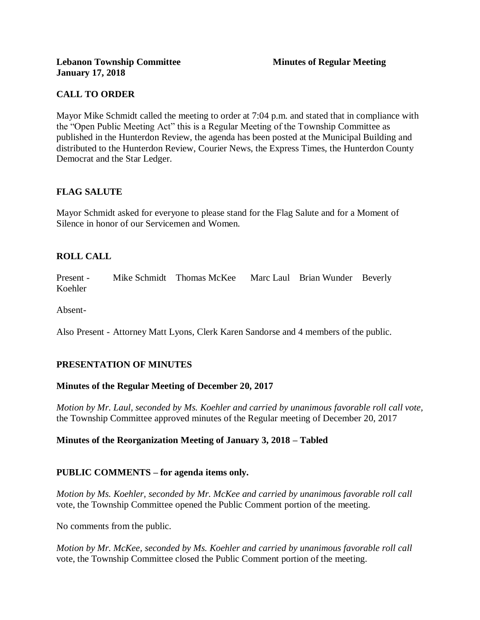# **CALL TO ORDER**

Mayor Mike Schmidt called the meeting to order at 7:04 p.m. and stated that in compliance with the "Open Public Meeting Act" this is a Regular Meeting of the Township Committee as published in the Hunterdon Review, the agenda has been posted at the Municipal Building and distributed to the Hunterdon Review, Courier News, the Express Times, the Hunterdon County Democrat and the Star Ledger.

# **FLAG SALUTE**

Mayor Schmidt asked for everyone to please stand for the Flag Salute and for a Moment of Silence in honor of our Servicemen and Women.

# **ROLL CALL**

Present - Mike Schmidt Thomas McKee Marc Laul Brian Wunder Beverly Koehler

Absent-

Also Present - Attorney Matt Lyons, Clerk Karen Sandorse and 4 members of the public.

# **PRESENTATION OF MINUTES**

# **Minutes of the Regular Meeting of December 20, 2017**

*Motion by Mr. Laul, seconded by Ms. Koehler and carried by unanimous favorable roll call vote,*  the Township Committee approved minutes of the Regular meeting of December 20, 2017

# **Minutes of the Reorganization Meeting of January 3, 2018 – Tabled**

# **PUBLIC COMMENTS – for agenda items only.**

*Motion by Ms. Koehler, seconded by Mr. McKee and carried by unanimous favorable roll call*  vote, the Township Committee opened the Public Comment portion of the meeting.

No comments from the public.

*Motion by Mr. McKee, seconded by Ms. Koehler and carried by unanimous favorable roll call*  vote, the Township Committee closed the Public Comment portion of the meeting.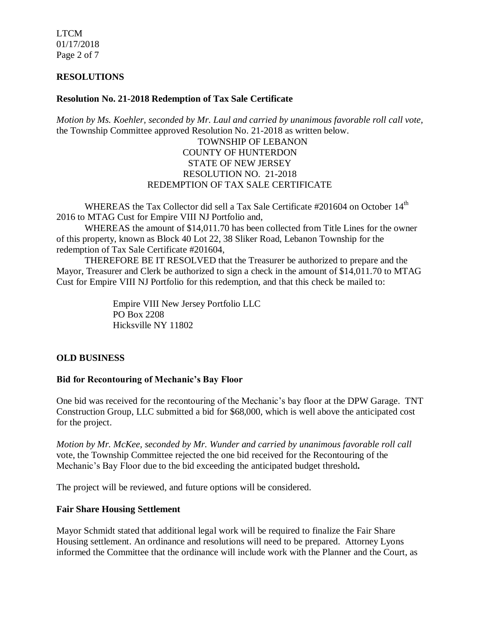LTCM 01/17/2018 Page 2 of 7

#### **RESOLUTIONS**

#### **Resolution No. 21-2018 Redemption of Tax Sale Certificate**

*Motion by Ms. Koehler, seconded by Mr. Laul and carried by unanimous favorable roll call vote,* the Township Committee approved Resolution No. 21-2018 as written below.

# TOWNSHIP OF LEBANON COUNTY OF HUNTERDON STATE OF NEW JERSEY RESOLUTION NO. 21-2018 REDEMPTION OF TAX SALE CERTIFICATE

WHEREAS the Tax Collector did sell a Tax Sale Certificate #201604 on October 14<sup>th</sup> 2016 to MTAG Cust for Empire VIII NJ Portfolio and,

WHEREAS the amount of \$14,011.70 has been collected from Title Lines for the owner of this property, known as Block 40 Lot 22, 38 Sliker Road, Lebanon Township for the redemption of Tax Sale Certificate #201604,

THEREFORE BE IT RESOLVED that the Treasurer be authorized to prepare and the Mayor, Treasurer and Clerk be authorized to sign a check in the amount of \$14,011.70 to MTAG Cust for Empire VIII NJ Portfolio for this redemption, and that this check be mailed to:

> Empire VIII New Jersey Portfolio LLC PO Box 2208 Hicksville NY 11802

# **OLD BUSINESS**

#### **Bid for Recontouring of Mechanic's Bay Floor**

One bid was received for the recontouring of the Mechanic's bay floor at the DPW Garage. TNT Construction Group, LLC submitted a bid for \$68,000, which is well above the anticipated cost for the project.

*Motion by Mr. McKee, seconded by Mr. Wunder and carried by unanimous favorable roll call*  vote, the Township Committee rejected the one bid received for the Recontouring of the Mechanic's Bay Floor due to the bid exceeding the anticipated budget threshold**.** 

The project will be reviewed, and future options will be considered.

#### **Fair Share Housing Settlement**

Mayor Schmidt stated that additional legal work will be required to finalize the Fair Share Housing settlement. An ordinance and resolutions will need to be prepared. Attorney Lyons informed the Committee that the ordinance will include work with the Planner and the Court, as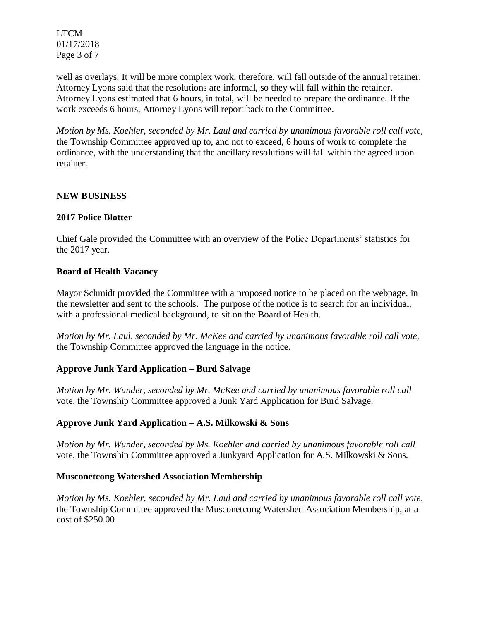LTCM 01/17/2018 Page 3 of 7

well as overlays. It will be more complex work, therefore, will fall outside of the annual retainer. Attorney Lyons said that the resolutions are informal, so they will fall within the retainer. Attorney Lyons estimated that 6 hours, in total, will be needed to prepare the ordinance. If the work exceeds 6 hours, Attorney Lyons will report back to the Committee.

*Motion by Ms. Koehler, seconded by Mr. Laul and carried by unanimous favorable roll call vote,*  the Township Committee approved up to, and not to exceed, 6 hours of work to complete the ordinance, with the understanding that the ancillary resolutions will fall within the agreed upon retainer.

# **NEW BUSINESS**

### **2017 Police Blotter**

Chief Gale provided the Committee with an overview of the Police Departments' statistics for the 2017 year.

### **Board of Health Vacancy**

Mayor Schmidt provided the Committee with a proposed notice to be placed on the webpage, in the newsletter and sent to the schools. The purpose of the notice is to search for an individual, with a professional medical background, to sit on the Board of Health.

*Motion by Mr. Laul, seconded by Mr. McKee and carried by unanimous favorable roll call vote,*  the Township Committee approved the language in the notice.

# **Approve Junk Yard Application – Burd Salvage**

*Motion by Mr. Wunder, seconded by Mr. McKee and carried by unanimous favorable roll call*  vote*,* the Township Committee approved a Junk Yard Application for Burd Salvage.

# **Approve Junk Yard Application – A.S. Milkowski & Sons**

*Motion by Mr. Wunder, seconded by Ms. Koehler and carried by unanimous favorable roll call*  vote*,* the Township Committee approved a Junkyard Application for A.S. Milkowski & Sons.

#### **Musconetcong Watershed Association Membership**

*Motion by Ms. Koehler, seconded by Mr. Laul and carried by unanimous favorable roll call vote,*  the Township Committee approved the Musconetcong Watershed Association Membership, at a cost of \$250.00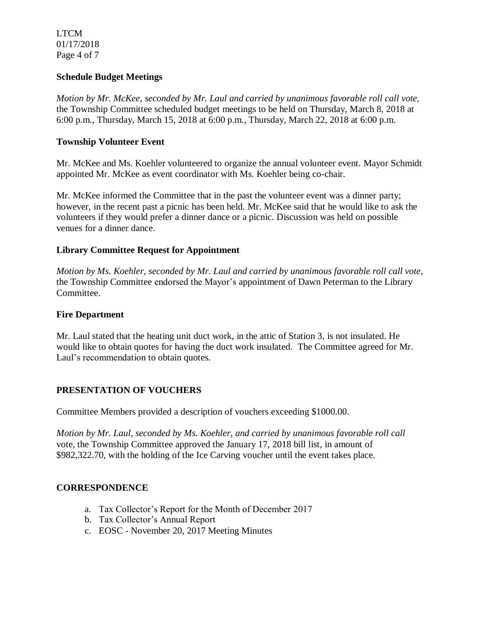LTCM 01/17/2018 Page 4 of 7

#### **Schedule Budget Meetings**

*Motion by Mr. McKee, seconded by Mr. Laul and carried by unanimous favorable roll call vote,*  the Township Committee scheduled budget meetings to be held on Thursday, March 8, 2018 at 6:00 p.m., Thursday, March 15, 2018 at 6:00 p.m., Thursday, March 22, 2018 at 6:00 p.m.

### **Township Volunteer Event**

Mr. McKee and Ms. Koehler volunteered to organize the annual volunteer event. Mayor Schmidt appointed Mr. McKee as event coordinator with Ms. Koehler being co-chair.

Mr. McKee informed the Committee that in the past the volunteer event was a dinner party; however, in the recent past a picnic has been held. Mr. McKee said that he would like to ask the volunteers if they would prefer a dinner dance or a picnic. Discussion was held on possible venues for a dinner dance.

# **Library Committee Request for Appointment**

*Motion by Ms. Koehler, seconded by Mr. Laul and carried by unanimous favorable roll call vote,*  the Township Committee endorsed the Mayor's appointment of Dawn Peterman to the Library Committee.

#### **Fire Department**

Mr. Laul stated that the heating unit duct work, in the attic of Station 3, is not insulated. He would like to obtain quotes for having the duct work insulated. The Committee agreed for Mr. Laul's recommendation to obtain quotes.

#### **PRESENTATION OF VOUCHERS**

Committee Members provided a description of vouchers exceeding \$1000.00.

*Motion by Mr. Laul, seconded by Ms. Koehler, and carried by unanimous favorable roll call*  vote, the Township Committee approved the January 17, 2018 bill list, in amount of \$982,322.70, with the holding of the Ice Carving voucher until the event takes place.

# **CORRESPONDENCE**

- a. Tax Collector's Report for the Month of December 2017
- b. Tax Collector's Annual Report
- c. EOSC November 20, 2017 Meeting Minutes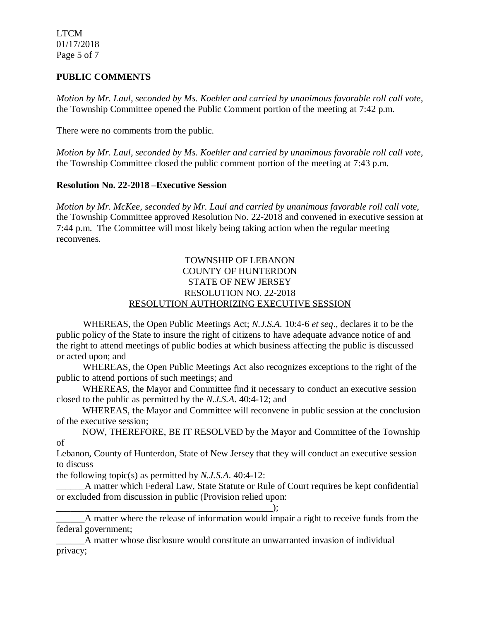LTCM 01/17/2018 Page 5 of 7

### **PUBLIC COMMENTS**

*Motion by Mr. Laul, seconded by Ms. Koehler and carried by unanimous favorable roll call vote,* the Township Committee opened the Public Comment portion of the meeting at 7:42 p.m.

There were no comments from the public.

*Motion by Mr. Laul, seconded by Ms. Koehler and carried by unanimous favorable roll call vote,* the Township Committee closed the public comment portion of the meeting at 7:43 p.m.

#### **Resolution No. 22-2018 –Executive Session**

*Motion by Mr. McKee, seconded by Mr. Laul and carried by unanimous favorable roll call vote,* the Township Committee approved Resolution No. 22-2018 and convened in executive session at 7:44 p.m. The Committee will most likely being taking action when the regular meeting reconvenes.

#### TOWNSHIP OF LEBANON COUNTY OF HUNTERDON STATE OF NEW JERSEY RESOLUTION NO. 22-2018 RESOLUTION AUTHORIZING EXECUTIVE SESSION

WHEREAS, the Open Public Meetings Act; *N.J.S.A.* 10:4-6 *et seq*., declares it to be the public policy of the State to insure the right of citizens to have adequate advance notice of and the right to attend meetings of public bodies at which business affecting the public is discussed or acted upon; and

WHEREAS, the Open Public Meetings Act also recognizes exceptions to the right of the public to attend portions of such meetings; and

 WHEREAS, the Mayor and Committee find it necessary to conduct an executive session closed to the public as permitted by the *N.J.S.A*. 40:4-12; and

 WHEREAS, the Mayor and Committee will reconvene in public session at the conclusion of the executive session;

 NOW, THEREFORE, BE IT RESOLVED by the Mayor and Committee of the Township of

Lebanon, County of Hunterdon, State of New Jersey that they will conduct an executive session to discuss

the following topic(s) as permitted by *N.J.S.A*. 40:4-12:

\_\_\_\_\_\_A matter which Federal Law, State Statute or Rule of Court requires be kept confidential or excluded from discussion in public (Provision relied upon:

\_\_\_\_\_\_\_\_\_\_\_\_\_\_\_\_\_\_\_\_\_\_\_\_\_\_\_\_\_\_\_\_\_\_\_\_\_\_\_\_\_\_\_\_\_\_);

A matter where the release of information would impair a right to receive funds from the federal government;

\_\_\_\_\_\_A matter whose disclosure would constitute an unwarranted invasion of individual privacy;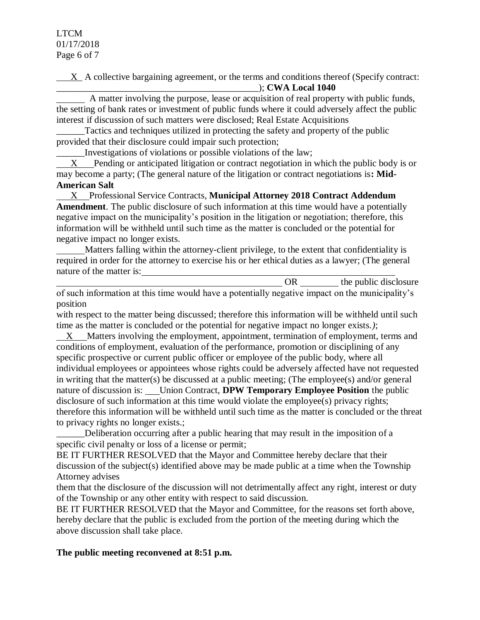$X$  A collective bargaining agreement, or the terms and conditions thereof (Specify contract: \_\_\_\_\_\_\_\_\_\_\_\_\_\_\_\_\_\_\_\_\_\_\_\_\_\_\_\_\_\_\_\_\_\_\_\_\_\_\_\_\_\_\_); **CWA Local 1040**

 A matter involving the purpose, lease or acquisition of real property with public funds, the setting of bank rates or investment of public funds where it could adversely affect the public interest if discussion of such matters were disclosed; Real Estate Acquisitions

Tactics and techniques utilized in protecting the safety and property of the public provided that their disclosure could impair such protection;

\_\_\_\_\_\_Investigations of violations or possible violations of the law;

 X Pending or anticipated litigation or contract negotiation in which the public body is or may become a party; (The general nature of the litigation or contract negotiations is**: Mid-American Salt**

 X Professional Service Contracts, **Municipal Attorney 2018 Contract Addendum Amendment**. The public disclosure of such information at this time would have a potentially negative impact on the municipality's position in the litigation or negotiation; therefore, this information will be withheld until such time as the matter is concluded or the potential for negative impact no longer exists.

 Matters falling within the attorney-client privilege, to the extent that confidentiality is required in order for the attorney to exercise his or her ethical duties as a lawyer; (The general nature of the matter is:

OR the public disclosure of such information at this time would have a potentially negative impact on the municipality's position

with respect to the matter being discussed; therefore this information will be withheld until such time as the matter is concluded or the potential for negative impact no longer exists.*)*;

 X Matters involving the employment, appointment, termination of employment, terms and conditions of employment, evaluation of the performance, promotion or disciplining of any specific prospective or current public officer or employee of the public body, where all individual employees or appointees whose rights could be adversely affected have not requested in writing that the matter(s) be discussed at a public meeting; (The employee(s) and/or general nature of discussion is: Union Contract, **DPW Temporary Employee Position** the public disclosure of such information at this time would violate the employee(s) privacy rights; therefore this information will be withheld until such time as the matter is concluded or the threat to privacy rights no longer exists.;

Deliberation occurring after a public hearing that may result in the imposition of a specific civil penalty or loss of a license or permit;

BE IT FURTHER RESOLVED that the Mayor and Committee hereby declare that their discussion of the subject(s) identified above may be made public at a time when the Township Attorney advises

them that the disclosure of the discussion will not detrimentally affect any right, interest or duty of the Township or any other entity with respect to said discussion.

BE IT FURTHER RESOLVED that the Mayor and Committee, for the reasons set forth above, hereby declare that the public is excluded from the portion of the meeting during which the above discussion shall take place.

# **The public meeting reconvened at 8:51 p.m.**